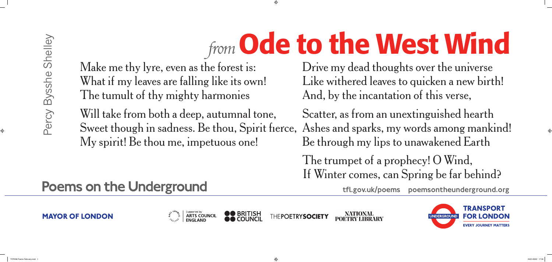NATIONAL<br>POETRY LIBRARY THEPOETRYSOCIETY



Make me thy lyre, even as the forest is: What if my leaves are falling like its own! The tumult of thy mighty harmonies

Will take from both a deep, autumnal tone, Sweet though in sadness. Be thou, Spirit fıerce, Ashes and sparks, my words among mankind! My spirit! Be thou me, impetuous one! Scatter, as from an unextinguished hearth Be through my lips to unawakened Earth

### **Poems on the Underground**

**MAYOR OF LONDON** 



Drive my dead thoughts over the universe Like withered leaves to quicken a new birth! And, by the incantation of this verse,

The trumpet of a prophecy! O Wind, If Winter comes, can Spring be far behind?

# *from* Ode to the West Wind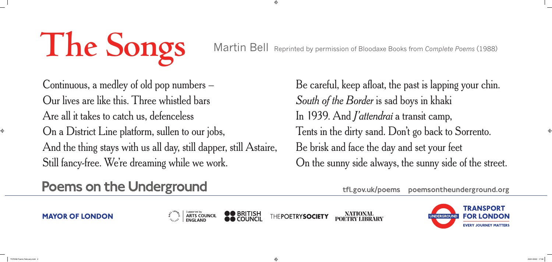NATIONAL<br>POETRY LIBRARY THEPOETRYSOCIETY





Continuous, a medley of old pop numbers – Our lives are like this. Three whistled bars Are all it takes to catch us, defenceless On a District Line platform, sullen to our jobs, And the thing stays with us all day, still dapper, still Astaire, Still fancy-free. We're dreaming while we work.

### **Poems on the Underground**

**MAYOR OF LONDON** 



Be careful, keep afloat, the past is lapping your chin. *South of the Border* is sad boys in khaki In 1939. And *J'attendrai* a transit camp, Tents in the dirty sand. Don't go back to Sorrento. Be brisk and face the day and set your feet On the sunny side always, the sunny side of the street.

Martin Bell Reprinted by permission of Bloodaxe Books from *Complete Poems* (1988)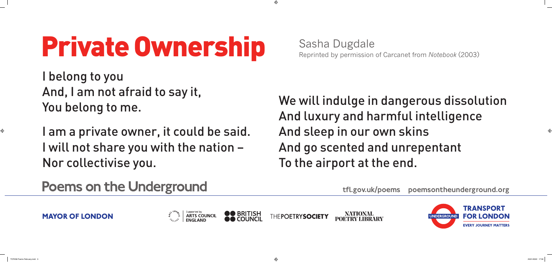NATIONAL<br>POETRY LIBRARY THEPOETRYSOCIETY



# Private Ownership Sasha Dugdale

I belong to you And, I am not afraid to say it, You belong to me.

I am a private owner, it could be said. I will not share you with the nation – Nor collectivise you.

We will indulge in dangerous dissolution And luxury and harmful intelligence And sleep in our own skins And go scented and unrepentant To the airport at the end.

### **Poems on the Underground**

**MAYOR OF LONDON** 





# Reprinted by permission of Carcanet from *Notebook* (2003)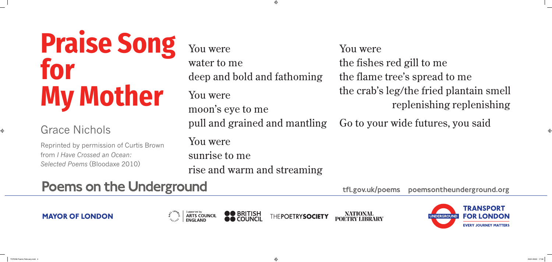

# **Praise Song for My Mother**

#### Grace Nichols

Reprinted by permission of Curtis Brown from *I Have Crossed an Ocean: Selected Poems* (Bloodaxe 2010)

You were water to me deep and bold and fat You were moon's eye to me pull and grained and mantling You were sunrise to me rise and warm and streaming You were the fishes red gill to me the flame tree's spread to me Go to your wide futures, you said

### **Poems on the Underground**

**MAYOR OF LONDON** 



| homing | You were                                |
|--------|-----------------------------------------|
|        | the fishes red gill to me               |
|        | the flame tree's spread to me           |
|        | the crab's leg/the fried plantain smell |
|        | replenishing replenishing               |
|        |                                         |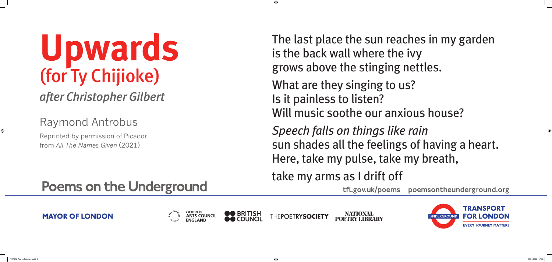**NATIONAL<br>POETRY LIBRARY** THEPOETRYSOCIETY



- The last place the sun reaches in my garden is the back wall where the ivy grows above the stinging nettles.
- What are they singing to us?
- Is it painless to listen? Will music soothe our anxious house?
- *Speech falls on things like rain* sun shades all the feelings of having a heart.
- Here, take my pulse, take my breath,
- take my arms as I drift off

# **Upwards** (for Ty Chijioke) *after Christopher Gilbert*

Raymond Antrobus

Reprinted by permission of Picador from *All The Names Given* (2021)

## **Poems on the Underground**